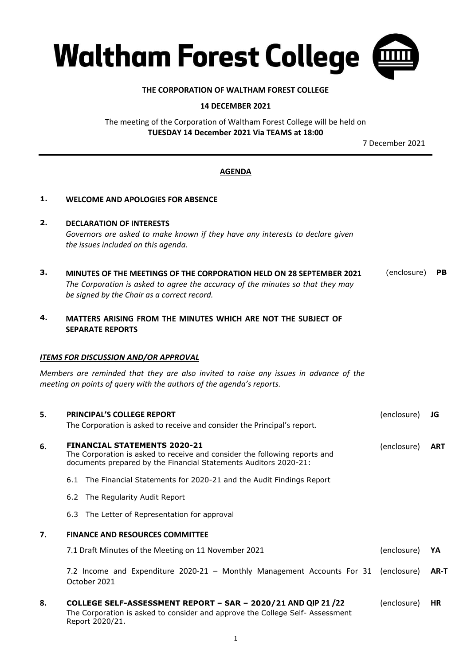

### **THE CORPORATION OF WALTHAM FOREST COLLEGE**

### **14 DECEMBER 2021**

The meeting of the Corporation of Waltham Forest College will be held on **TUESDAY 14 December 2021 Via TEAMS at 18:00**

7 December 2021

# **AGENDA**

# **1. WELCOME AND APOLOGIES FOR ABSENCE**

- **2. DECLARATION OF INTERESTS** *Governors are asked to make known if they have any interests to declare given the issues included on this agenda.*
- **3. MINUTES OF THE MEETINGS OF THE CORPORATION HELD ON 28 SEPTEMBER 2021** *The Corporation is asked to agree the accuracy of the minutes so that they may be signed by the Chair as a correct record.* (enclosure) **PB**
- **4. MATTERS ARISING FROM THE MINUTES WHICH ARE NOT THE SUBJECT OF SEPARATE REPORTS**

#### *ITEMS FOR DISCUSSION AND/OR APPROVAL*

*Members are reminded that they are also invited to raise any issues in advance of the meeting on points of query with the authors of the agenda's reports.*

| 5. | <b>PRINCIPAL'S COLLEGE REPORT</b>                                                                                                                                                     | (enclosure) | JG         |  |  |  |
|----|---------------------------------------------------------------------------------------------------------------------------------------------------------------------------------------|-------------|------------|--|--|--|
|    | The Corporation is asked to receive and consider the Principal's report.                                                                                                              |             |            |  |  |  |
| 6. | <b>FINANCIAL STATEMENTS 2020-21</b><br>The Corporation is asked to receive and consider the following reports and<br>documents prepared by the Financial Statements Auditors 2020-21: | (enclosure) | <b>ART</b> |  |  |  |
|    | 6.1 The Financial Statements for 2020-21 and the Audit Findings Report                                                                                                                |             |            |  |  |  |
|    | 6.2 The Regularity Audit Report                                                                                                                                                       |             |            |  |  |  |
|    | 6.3 The Letter of Representation for approval                                                                                                                                         |             |            |  |  |  |
| 7. | <b>FINANCE AND RESOURCES COMMITTEE</b>                                                                                                                                                |             |            |  |  |  |
|    | 7.1 Draft Minutes of the Meeting on 11 November 2021                                                                                                                                  | (enclosure) | YA         |  |  |  |
|    | 7.2 Income and Expenditure 2020-21 - Monthly Management Accounts For 31 (enclosure)<br>October 2021                                                                                   |             | AR-T       |  |  |  |
| 8. | COLLEGE SELF-ASSESSMENT REPORT - SAR - 2020/21 AND QIP 21 /22<br>The Corporation is asked to consider and approve the College Self-Assessment<br>Report 2020/21.                      | (enclosure) | <b>HR</b>  |  |  |  |